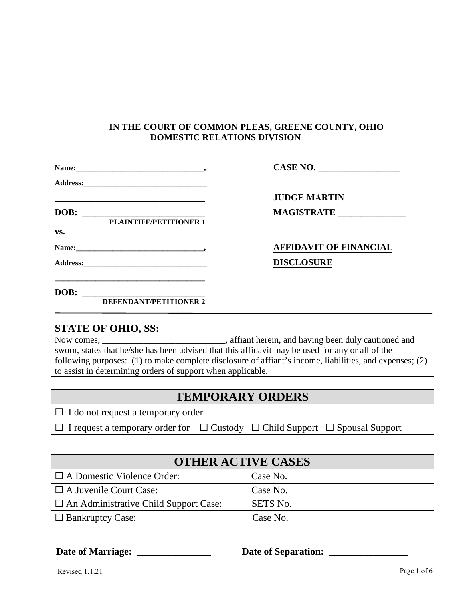## **IN THE COURT OF COMMON PLEAS, GREENE COUNTY, OHIO DOMESTIC RELATIONS DIVISION**

|                                                                                                                                                                                                                                                                               | CASE NO.                      |
|-------------------------------------------------------------------------------------------------------------------------------------------------------------------------------------------------------------------------------------------------------------------------------|-------------------------------|
|                                                                                                                                                                                                                                                                               |                               |
| <u> 1989 - Johann Stoff, amerikansk politiker (d. 1989)</u>                                                                                                                                                                                                                   | <b>JUDGE MARTIN</b>           |
| DOB:<br><u> 1989 - Johann Harry Harry Harry Harry Harry Harry Harry Harry Harry Harry Harry Harry Harry Harry Harry Harry Harry Harry Harry Harry Harry Harry Harry Harry Harry Harry Harry Harry Harry Harry Harry Harry Harry Harry Ha</u><br><b>PLAINTIFF/PETITIONER 1</b> | MAGISTRATE                    |
| VS.                                                                                                                                                                                                                                                                           |                               |
|                                                                                                                                                                                                                                                                               | <b>AFFIDAVIT OF FINANCIAL</b> |
| Address: Andreas Address and Address and Address and Address and Address and Address and Address and Address and Address and Address and Address and Address and Address and Address and Address and Address and Address and A                                                | <b>DISCLOSURE</b>             |
| DOB:                                                                                                                                                                                                                                                                          |                               |
| <b>DEFENDANT/PETITIONER 2</b>                                                                                                                                                                                                                                                 |                               |

## **STATE OF OHIO, SS:**

Now comes, \_\_\_\_\_\_\_\_\_\_\_\_\_\_\_\_\_\_\_\_\_\_\_\_\_\_\_, affiant herein, and having been duly cautioned and sworn, states that he/she has been advised that this affidavit may be used for any or all of the following purposes: (1) to make complete disclosure of affiant's income, liabilities, and expenses; (2) to assist in determining orders of support when applicable.

| <b>TEMPORARY ORDERS</b> |
|-------------------------|
|-------------------------|

 $\Box$  I do not request a temporary order

 $\Box$  I request a temporary order for  $\Box$  Custody  $\Box$  Child Support  $\Box$  Spousal Support

| <b>OTHER ACTIVE CASES</b>                    |          |  |  |
|----------------------------------------------|----------|--|--|
| $\Box$ A Domestic Violence Order:            | Case No. |  |  |
| $\Box$ A Juvenile Court Case:                | Case No. |  |  |
| $\Box$ An Administrative Child Support Case: | SETS No. |  |  |
| $\Box$ Bankruptcy Case:                      | Case No. |  |  |

Date of Marriage:

Date of Separation: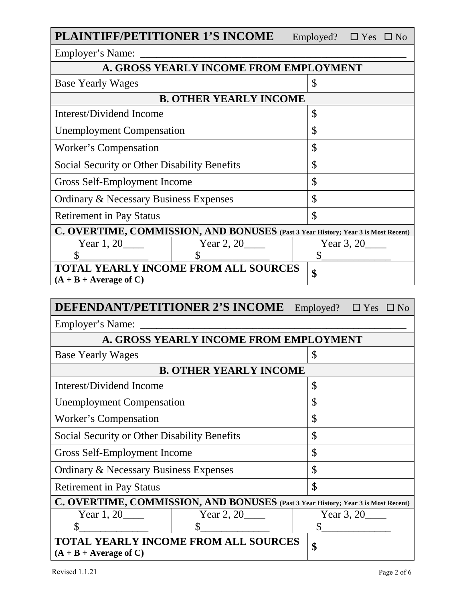| <b>PLAINTIFF/PETITIONER 1'S INCOME</b>                                            |                                        |               | Employed? $\square$ Yes $\square$ No |  |
|-----------------------------------------------------------------------------------|----------------------------------------|---------------|--------------------------------------|--|
| Employer's Name: _____                                                            |                                        |               |                                      |  |
|                                                                                   | A. GROSS YEARLY INCOME FROM EMPLOYMENT |               |                                      |  |
| <b>Base Yearly Wages</b>                                                          |                                        | \$            |                                      |  |
|                                                                                   | <b>B. OTHER YEARLY INCOME</b>          |               |                                      |  |
| Interest/Dividend Income                                                          |                                        | \$            |                                      |  |
| <b>Unemployment Compensation</b>                                                  |                                        | \$            |                                      |  |
| Worker's Compensation                                                             |                                        | \$            |                                      |  |
| Social Security or Other Disability Benefits                                      |                                        | \$            |                                      |  |
| Gross Self-Employment Income                                                      |                                        | $\mathcal{S}$ |                                      |  |
| <b>Ordinary &amp; Necessary Business Expenses</b>                                 |                                        | \$            |                                      |  |
| <b>Retirement in Pay Status</b>                                                   |                                        |               |                                      |  |
| C. OVERTIME, COMMISSION, AND BONUSES (Past 3 Year History; Year 3 is Most Recent) |                                        |               |                                      |  |
| Year $1, 20$                                                                      | Year $2, 20$                           |               | Year $3, 20$                         |  |
| \$                                                                                |                                        | \$            |                                      |  |
| <b>TOTAL YEARLY INCOME FROM ALL SOURCES</b>                                       |                                        |               |                                      |  |
| $(A + B + Average of C)$                                                          |                                        | \$            |                                      |  |

| <b>DEFENDANT/PETITIONER 2'S INCOME</b>                                            | Employed?                                   | $\Box$ Yes<br>$\Box$ No |              |  |
|-----------------------------------------------------------------------------------|---------------------------------------------|-------------------------|--------------|--|
| Employer's Name:                                                                  |                                             |                         |              |  |
|                                                                                   | A. GROSS YEARLY INCOME FROM EMPLOYMENT      |                         |              |  |
| <b>Base Yearly Wages</b>                                                          |                                             | \$                      |              |  |
|                                                                                   | <b>B. OTHER YEARLY INCOME</b>               |                         |              |  |
| Interest/Dividend Income                                                          |                                             | \$                      |              |  |
| <b>Unemployment Compensation</b>                                                  |                                             | \$                      |              |  |
| Worker's Compensation                                                             |                                             | \$                      |              |  |
| Social Security or Other Disability Benefits                                      |                                             | \$                      |              |  |
| Gross Self-Employment Income                                                      |                                             | $\mathcal{S}$           |              |  |
| <b>Ordinary &amp; Necessary Business Expenses</b>                                 |                                             | \$                      |              |  |
| <b>Retirement in Pay Status</b>                                                   |                                             | $\mathcal{S}$           |              |  |
| C. OVERTIME, COMMISSION, AND BONUSES (Past 3 Year History; Year 3 is Most Recent) |                                             |                         |              |  |
| Year $1, 20$                                                                      | Year $2, 20$                                |                         | Year 3, $20$ |  |
| \$                                                                                | $\mathcal{S}$                               | \$                      |              |  |
| $(A + B + Average of C)$                                                          | <b>TOTAL YEARLY INCOME FROM ALL SOURCES</b> | \$                      |              |  |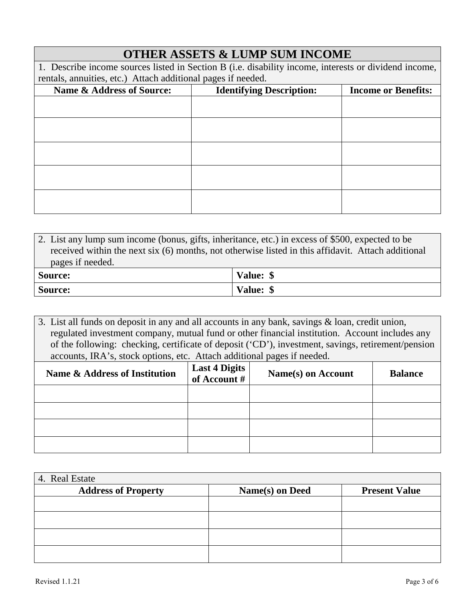| <b>OTHER ASSETS &amp; LUMP SUM INCOME</b>                                                             |  |  |
|-------------------------------------------------------------------------------------------------------|--|--|
| 1. Describe income sources listed in Section B (i.e. disability income, interests or dividend income, |  |  |
| rentals, annuities, etc.) Attach additional pages if needed.                                          |  |  |
| <b>Identifying Description:</b><br><b>Income or Benefits:</b>                                         |  |  |
|                                                                                                       |  |  |
|                                                                                                       |  |  |
|                                                                                                       |  |  |
|                                                                                                       |  |  |
|                                                                                                       |  |  |
|                                                                                                       |  |  |
|                                                                                                       |  |  |
|                                                                                                       |  |  |
|                                                                                                       |  |  |
|                                                                                                       |  |  |
|                                                                                                       |  |  |

2. List any lump sum income (bonus, gifts, inheritance, etc.) in excess of \$500, expected to be received within the next six (6) months, not otherwise listed in this affidavit. Attach additional pages if needed. **Source: Value: \$**

**Source: Value: \$**

3. List all funds on deposit in any and all accounts in any bank, savings & loan, credit union, regulated investment company, mutual fund or other financial institution. Account includes any of the following: checking, certificate of deposit ('CD'), investment, savings, retirement/pension accounts, IRA's, stock options, etc. Attach additional pages if needed.

| Name & Address of Institution | Last 4 Digits<br>of Account # | Name(s) on Account | <b>Balance</b> |
|-------------------------------|-------------------------------|--------------------|----------------|
|                               |                               |                    |                |
|                               |                               |                    |                |
|                               |                               |                    |                |
|                               |                               |                    |                |

| 4. Real Estate             |                 |                      |
|----------------------------|-----------------|----------------------|
| <b>Address of Property</b> | Name(s) on Deed | <b>Present Value</b> |
|                            |                 |                      |
|                            |                 |                      |
|                            |                 |                      |
|                            |                 |                      |
|                            |                 |                      |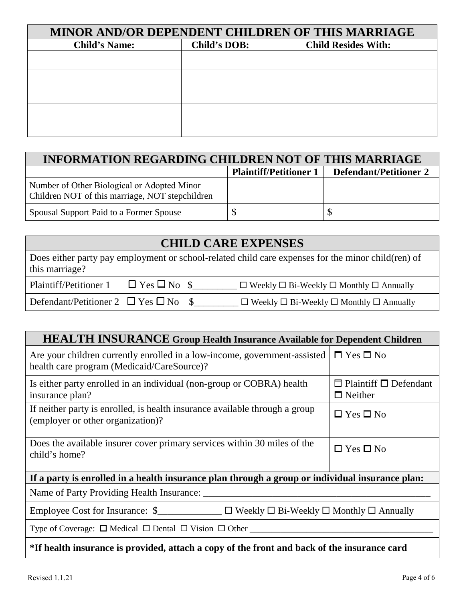| MINOR AND/OR DEPENDENT CHILDREN OF THIS MARRIAGE |              |                            |  |
|--------------------------------------------------|--------------|----------------------------|--|
| <b>Child's Name:</b>                             | Child's DOB: | <b>Child Resides With:</b> |  |
|                                                  |              |                            |  |
|                                                  |              |                            |  |
|                                                  |              |                            |  |
|                                                  |              |                            |  |
|                                                  |              |                            |  |

| <b>INFORMATION REGARDING CHILDREN NOT OF THIS MARRIAGE</b>                                     |                               |                               |  |
|------------------------------------------------------------------------------------------------|-------------------------------|-------------------------------|--|
|                                                                                                | <b>Plaintiff/Petitioner 1</b> | <b>Defendant/Petitioner 2</b> |  |
| Number of Other Biological or Adopted Minor<br>Children NOT of this marriage, NOT stepchildren |                               |                               |  |
| Spousal Support Paid to a Former Spouse                                                        |                               |                               |  |

## **CHILD CARE EXPENSES**

Does either party pay employment or school-related child care expenses for the minor child(ren) of this marriage?

| Plaintiff/Petitioner 1                         | $\Box$ Yes $\Box$ No \$ | $\Box$ Weekly $\Box$ Bi-Weekly $\Box$ Monthly $\Box$ Annually |
|------------------------------------------------|-------------------------|---------------------------------------------------------------|
| Defendant/Petitioner 2 $\Box$ Yes $\Box$ No \$ |                         | $\Box$ Weekly $\Box$ Bi-Weekly $\Box$ Monthly $\Box$ Annually |

## **HEALTH INSURANCE Group Health Insurance Available for Dependent Children**

| Are your children currently enrolled in a low-income, government-assisted<br>health care program (Medicaid/CareSource)? | $\Box$ Yes $\Box$ No                                |  |  |
|-------------------------------------------------------------------------------------------------------------------------|-----------------------------------------------------|--|--|
| Is either party enrolled in an individual (non-group or COBRA) health<br>insurance plan?                                | $\Box$ Plaintiff $\Box$ Defendant<br>$\Box$ Neither |  |  |
| If neither party is enrolled, is health insurance available through a group<br>(employer or other organization)?        | $\Box$ Yes $\Box$ No                                |  |  |
| Does the available insurer cover primary services within 30 miles of the<br>child's home?                               | $\Box$ Yes $\Box$ No                                |  |  |
| If a party is enrolled in a health insurance plan through a group or individual insurance plan:                         |                                                     |  |  |
| Name of Party Providing Health Insurance: _______                                                                       |                                                     |  |  |
| Employee Cost for Insurance: $\sum_{n=1}^{\infty}$ $\Box$ Weekly $\Box$ Bi-Weekly $\Box$ Monthly $\Box$ Annually        |                                                     |  |  |
| Type of Coverage: $\Box$ Medical $\Box$ Dental $\Box$ Vision $\Box$ Other                                               |                                                     |  |  |
| *If health insurance is provided, attach a copy of the front and back of the insurance card                             |                                                     |  |  |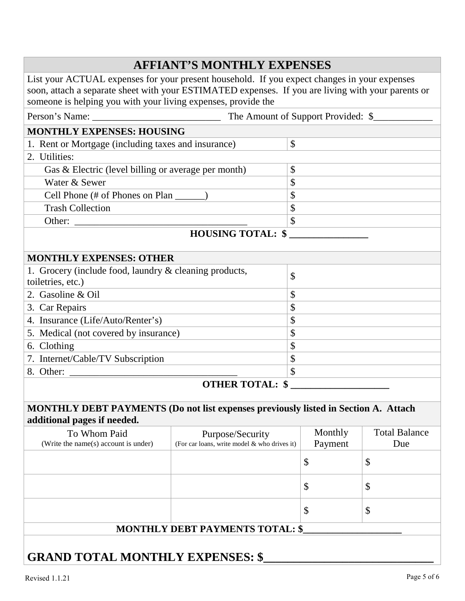|                                                                                                                                                                                                                                                                     | <b>AFFIANT'S MONTHLY EXPENSES</b>            |                           |                                                                                                                       |                      |  |
|---------------------------------------------------------------------------------------------------------------------------------------------------------------------------------------------------------------------------------------------------------------------|----------------------------------------------|---------------------------|-----------------------------------------------------------------------------------------------------------------------|----------------------|--|
| List your ACTUAL expenses for your present household. If you expect changes in your expenses<br>soon, attach a separate sheet with your ESTIMATED expenses. If you are living with your parents or<br>someone is helping you with your living expenses, provide the |                                              |                           |                                                                                                                       |                      |  |
|                                                                                                                                                                                                                                                                     |                                              |                           |                                                                                                                       |                      |  |
| <b>MONTHLY EXPENSES: HOUSING</b>                                                                                                                                                                                                                                    |                                              |                           |                                                                                                                       |                      |  |
| 1. Rent or Mortgage (including taxes and insurance)                                                                                                                                                                                                                 |                                              | $\mathcal{S}$             |                                                                                                                       |                      |  |
| 2. Utilities:                                                                                                                                                                                                                                                       |                                              |                           |                                                                                                                       |                      |  |
| \$<br>Gas & Electric (level billing or average per month)                                                                                                                                                                                                           |                                              |                           |                                                                                                                       |                      |  |
| Water & Sewer                                                                                                                                                                                                                                                       |                                              | \$                        |                                                                                                                       |                      |  |
| Cell Phone (# of Phones on Plan ______)                                                                                                                                                                                                                             |                                              | $\boldsymbol{\mathsf{S}}$ |                                                                                                                       |                      |  |
| $\boldsymbol{\mathsf{S}}$<br><b>Trash Collection</b>                                                                                                                                                                                                                |                                              |                           |                                                                                                                       |                      |  |
| $\boldsymbol{\mathsf{S}}$                                                                                                                                                                                                                                           |                                              |                           |                                                                                                                       |                      |  |
|                                                                                                                                                                                                                                                                     | <b>HOUSING TOTAL: \$</b>                     |                           | <u> 1980 - Jan Barbara Barbara, prima prima prima prima prima prima prima prima prima prima prima prima prima pri</u> |                      |  |
|                                                                                                                                                                                                                                                                     |                                              |                           |                                                                                                                       |                      |  |
| <b>MONTHLY EXPENSES: OTHER</b>                                                                                                                                                                                                                                      |                                              |                           |                                                                                                                       |                      |  |
| 1. Grocery (include food, laundry & cleaning products,<br>toiletries, etc.)                                                                                                                                                                                         |                                              | \$                        |                                                                                                                       |                      |  |
| 2. Gasoline & Oil                                                                                                                                                                                                                                                   |                                              | \$                        |                                                                                                                       |                      |  |
| 3. Car Repairs                                                                                                                                                                                                                                                      |                                              | \$                        |                                                                                                                       |                      |  |
| 4. Insurance (Life/Auto/Renter's)                                                                                                                                                                                                                                   |                                              | \$                        |                                                                                                                       |                      |  |
| 5. Medical (not covered by insurance)                                                                                                                                                                                                                               |                                              | \$                        |                                                                                                                       |                      |  |
| 6. Clothing                                                                                                                                                                                                                                                         |                                              | $\boldsymbol{\mathsf{S}}$ |                                                                                                                       |                      |  |
| 7. Internet/Cable/TV Subscription                                                                                                                                                                                                                                   |                                              | \$                        |                                                                                                                       |                      |  |
| $\mathcal{S}$                                                                                                                                                                                                                                                       |                                              |                           |                                                                                                                       |                      |  |
|                                                                                                                                                                                                                                                                     | <b>OTHER TOTAL: \$</b>                       |                           |                                                                                                                       |                      |  |
| <b>MONTHLY DEBT PAYMENTS (Do not list expenses previously listed in Section A. Attach</b><br>additional pages if needed.                                                                                                                                            |                                              |                           |                                                                                                                       |                      |  |
| To Whom Paid                                                                                                                                                                                                                                                        | Purpose/Security                             |                           | Monthly                                                                                                               | <b>Total Balance</b> |  |
| (Write the name(s) account is under)                                                                                                                                                                                                                                | (For car loans, write model & who drives it) |                           | Payment                                                                                                               | Due                  |  |
|                                                                                                                                                                                                                                                                     |                                              |                           | \$                                                                                                                    | \$                   |  |
|                                                                                                                                                                                                                                                                     |                                              |                           | \$                                                                                                                    | \$                   |  |
|                                                                                                                                                                                                                                                                     |                                              |                           | \$                                                                                                                    | \$                   |  |
|                                                                                                                                                                                                                                                                     | <b>MONTHLY DEBT PAYMENTS TOTAL: \$</b>       |                           |                                                                                                                       |                      |  |
| <b>GRAND TOTAL MONTHLY EXPENSES: \$</b>                                                                                                                                                                                                                             |                                              |                           |                                                                                                                       |                      |  |